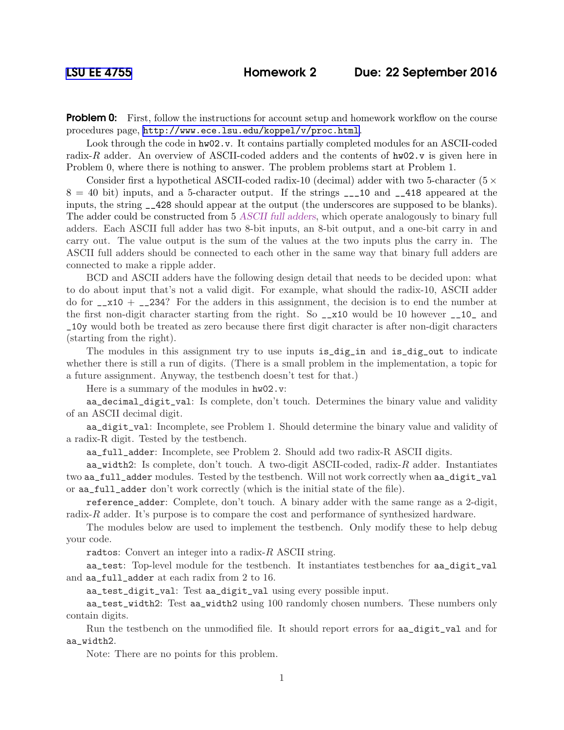**Problem 0:** First, follow the instructions for account setup and homework workflow on the course procedures page, <http://www.ece.lsu.edu/koppel/v/proc.html>.

Look through the code in  $hw02.v$ . It contains partially completed modules for an ASCII-coded radix-R adder. An overview of ASCII-coded adders and the contents of  $hw02$  v is given here in Problem 0, where there is nothing to answer. The problem problems start at Problem 1.

Consider first a hypothetical ASCII-coded radix-10 (decimal) adder with two 5-character ( $5 \times$  $8 = 40$  bit) inputs, and a 5-character output. If the strings  $\frac{1}{2}$  and  $\frac{1}{2}$  and  $\frac{1}{2}$  appeared at the inputs, the string \_\_428 should appear at the output (the underscores are supposed to be blanks). The adder could be constructed from 5 ASCII full adders, which operate analogously to binary full adders. Each ASCII full adder has two 8-bit inputs, an 8-bit output, and a one-bit carry in and carry out. The value output is the sum of the values at the two inputs plus the carry in. The ASCII full adders should be connected to each other in the same way that binary full adders are connected to make a ripple adder.

BCD and ASCII adders have the following design detail that needs to be decided upon: what to do about input that's not a valid digit. For example, what should the radix-10, ASCII adder do for  $-z10 + -234$ ? For the adders in this assignment, the decision is to end the number at the first non-digit character starting from the right. So \_\_x10 would be 10 however \_\_10\_ and \_10y would both be treated as zero because there first digit character is after non-digit characters (starting from the right).

The modules in this assignment try to use inputs is\_dig\_in and is\_dig\_out to indicate whether there is still a run of digits. (There is a small problem in the implementation, a topic for a future assignment. Anyway, the testbench doesn't test for that.)

Here is a summary of the modules in  $hw02.v$ :

aa\_decimal\_digit\_val: Is complete, don't touch. Determines the binary value and validity of an ASCII decimal digit.

aa\_digit\_val: Incomplete, see Problem 1. Should determine the binary value and validity of a radix-R digit. Tested by the testbench.

aa\_full\_adder: Incomplete, see Problem 2. Should add two radix-R ASCII digits.

aa\_width2: Is complete, don't touch. A two-digit ASCII-coded, radix- $R$  adder. Instantiates two aa\_full\_adder modules. Tested by the testbench. Will not work correctly when aa\_digit\_val or aa\_full\_adder don't work correctly (which is the initial state of the file).

reference\_adder: Complete, don't touch. A binary adder with the same range as a 2-digit, radix-R adder. It's purpose is to compare the cost and performance of synthesized hardware.

The modules below are used to implement the testbench. Only modify these to help debug your code.

radtos: Convert an integer into a radix-R ASCII string.

aa\_test: Top-level module for the testbench. It instantiates testbenches for aa\_digit\_val and aa\_full\_adder at each radix from 2 to 16.

aa\_test\_digit\_val: Test aa\_digit\_val using every possible input.

aa\_test\_width2: Test aa\_width2 using 100 randomly chosen numbers. These numbers only contain digits.

Run the testbench on the unmodified file. It should report errors for aa\_digit\_val and for aa\_width2.

Note: There are no points for this problem.